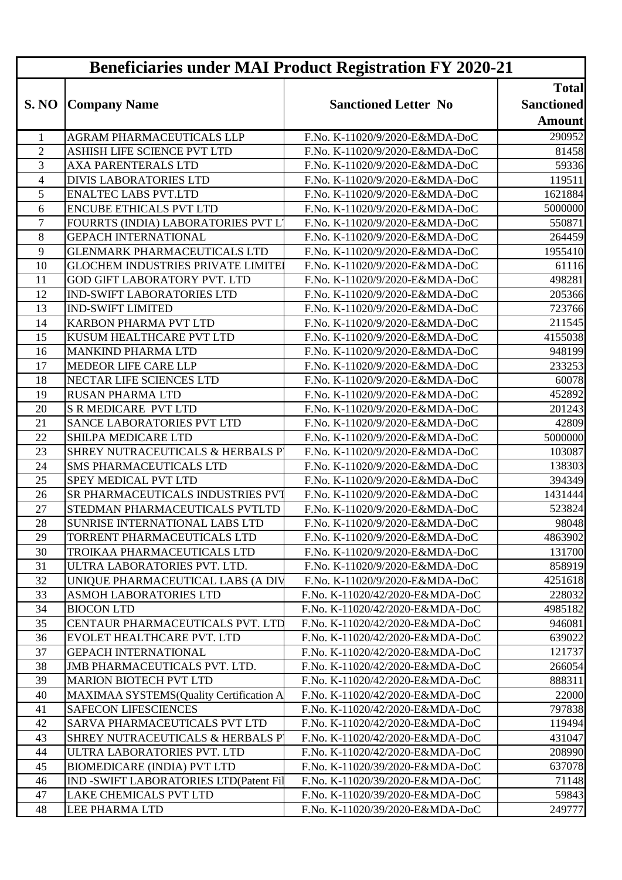| <b>Beneficiaries under MAI Product Registration FY 2020-21</b> |                                           |                                 |                   |
|----------------------------------------------------------------|-------------------------------------------|---------------------------------|-------------------|
|                                                                |                                           |                                 | <b>Total</b>      |
|                                                                | S. NO Company Name                        | <b>Sanctioned Letter No</b>     | <b>Sanctioned</b> |
|                                                                |                                           |                                 | <b>Amount</b>     |
| 1                                                              | AGRAM PHARMACEUTICALS LLP                 | F.No. K-11020/9/2020-E&MDA-DoC  | 290952            |
| $\overline{2}$                                                 | ASHISH LIFE SCIENCE PVT LTD               | F.No. K-11020/9/2020-E&MDA-DoC  | 81458             |
| 3                                                              | <b>AXA PARENTERALS LTD</b>                | F.No. K-11020/9/2020-E&MDA-DoC  | 59336             |
| $\overline{4}$                                                 | <b>DIVIS LABORATORIES LTD</b>             | F.No. K-11020/9/2020-E&MDA-DoC  | 119511            |
| 5                                                              | <b>ENALTEC LABS PVT.LTD</b>               | F.No. K-11020/9/2020-E&MDA-DoC  | 1621884           |
| 6                                                              | <b>ENCUBE ETHICALS PVT LTD</b>            | F.No. K-11020/9/2020-E&MDA-DoC  | 5000000           |
| $\tau$                                                         | FOURRTS (INDIA) LABORATORIES PVT L'       | F.No. K-11020/9/2020-E&MDA-DoC  | 550871            |
| 8                                                              | <b>GEPACH INTERNATIONAL</b>               | F.No. K-11020/9/2020-E&MDA-DoC  | 264459            |
| 9                                                              | <b>GLENMARK PHARMACEUTICALS LTD</b>       | F.No. K-11020/9/2020-E&MDA-DoC  | 1955410           |
| 10                                                             | <b>GLOCHEM INDUSTRIES PRIVATE LIMITE!</b> | F.No. K-11020/9/2020-E&MDA-DoC  | 61116             |
| 11                                                             | GOD GIFT LABORATORY PVT. LTD              | F.No. K-11020/9/2020-E&MDA-DoC  | 498281            |
| 12                                                             | <b>IND-SWIFT LABORATORIES LTD</b>         | F.No. K-11020/9/2020-E&MDA-DoC  | 205366            |
| 13                                                             | <b>IND-SWIFT LIMITED</b>                  | F.No. K-11020/9/2020-E&MDA-DoC  | 723766            |
| 14                                                             | <b>KARBON PHARMA PVT LTD</b>              | F.No. K-11020/9/2020-E&MDA-DoC  | 211545            |
| 15                                                             | KUSUM HEALTHCARE PVT LTD                  | F.No. K-11020/9/2020-E&MDA-DoC  | 4155038           |
| 16                                                             | <b>MANKIND PHARMA LTD</b>                 | F.No. K-11020/9/2020-E&MDA-DoC  | 948199            |
| 17                                                             | <b>MEDEOR LIFE CARE LLP</b>               | F.No. K-11020/9/2020-E&MDA-DoC  | 233253            |
| 18                                                             | NECTAR LIFE SCIENCES LTD                  | F.No. K-11020/9/2020-E&MDA-DoC  | 60078             |
| 19                                                             | <b>RUSAN PHARMA LTD</b>                   | F.No. K-11020/9/2020-E&MDA-DoC  | 452892            |
| 20                                                             | <b>S R MEDICARE PVT LTD</b>               | F.No. K-11020/9/2020-E&MDA-DoC  | 201243            |
| 21                                                             | SANCE LABORATORIES PVT LTD                | F.No. K-11020/9/2020-E&MDA-DoC  | 42809             |
| 22                                                             | SHILPA MEDICARE LTD                       | F.No. K-11020/9/2020-E&MDA-DoC  | 5000000           |
| 23                                                             | SHREY NUTRACEUTICALS & HERBALS P          | F.No. K-11020/9/2020-E&MDA-DoC  | 103087            |
| 24                                                             | <b>SMS PHARMACEUTICALS LTD</b>            | F.No. K-11020/9/2020-E&MDA-DoC  | 138303            |
| 25                                                             | <b>SPEY MEDICAL PVT LTD</b>               | F.No. K-11020/9/2020-E&MDA-DoC  | 394349            |
| 26                                                             | SR PHARMACEUTICALS INDUSTRIES PVT         | F.No. K-11020/9/2020-E&MDA-DoC  | 1431444           |
| 27                                                             | STEDMAN PHARMACEUTICALS PVTLTD            | F.No. K-11020/9/2020-E&MDA-DoC  | 523824            |
| 28                                                             | SUNRISE INTERNATIONAL LABS LTD            | F.No. K-11020/9/2020-E&MDA-DoC  | 98048             |
| 29                                                             | TORRENT PHARMACEUTICALS LTD               | F.No. K-11020/9/2020-E&MDA-DoC  | 4863902           |
| 30                                                             | TROIKAA PHARMACEUTICALS LTD               | F.No. K-11020/9/2020-E&MDA-DoC  | 131700            |
| 31                                                             | ULTRA LABORATORIES PVT. LTD.              | F.No. K-11020/9/2020-E&MDA-DoC  | 858919            |
| 32                                                             | UNIQUE PHARMACEUTICAL LABS (A DIV         | F.No. K-11020/9/2020-E&MDA-DoC  | 4251618           |
| 33                                                             | <b>ASMOH LABORATORIES LTD</b>             | F.No. K-11020/42/2020-E&MDA-DoC | 228032            |
| 34                                                             | <b>BIOCON LTD</b>                         | F.No. K-11020/42/2020-E&MDA-DoC | 4985182           |
| 35                                                             | CENTAUR PHARMACEUTICALS PVT. LTD          | F.No. K-11020/42/2020-E&MDA-DoC | 946081            |
| 36                                                             | <b>EVOLET HEALTHCARE PVT. LTD</b>         | F.No. K-11020/42/2020-E&MDA-DoC | 639022            |
| 37                                                             | <b>GEPACH INTERNATIONAL</b>               | F.No. K-11020/42/2020-E&MDA-DoC | 121737            |
| 38                                                             | JMB PHARMACEUTICALS PVT. LTD.             | F.No. K-11020/42/2020-E&MDA-DoC | 266054            |
| 39                                                             | <b>MARION BIOTECH PVT LTD</b>             | F.No. K-11020/42/2020-E&MDA-DoC | 888311            |
| 40                                                             | MAXIMAA SYSTEMS(Quality Certification A   | F.No. K-11020/42/2020-E&MDA-DoC | 22000             |
| 41                                                             | <b>SAFECON LIFESCIENCES</b>               | F.No. K-11020/42/2020-E&MDA-DoC | 797838            |
| 42                                                             | SARVA PHARMACEUTICALS PVT LTD             | F.No. K-11020/42/2020-E&MDA-DoC | 119494            |
| 43                                                             | SHREY NUTRACEUTICALS & HERBALS P          | F.No. K-11020/42/2020-E&MDA-DoC | 431047            |
| 44                                                             | ULTRA LABORATORIES PVT. LTD               | F.No. K-11020/42/2020-E&MDA-DoC | 208990            |
| 45                                                             | <b>BIOMEDICARE (INDIA) PVT LTD</b>        | F.No. K-11020/39/2020-E&MDA-DoC | 637078            |
| 46                                                             | IND -SWIFT LABORATORIES LTD(Patent Fil    | F.No. K-11020/39/2020-E&MDA-DoC | 71148             |
| 47                                                             | <b>LAKE CHEMICALS PVT LTD</b>             | F.No. K-11020/39/2020-E&MDA-DoC | 59843             |
| 48                                                             | LEE PHARMA LTD                            | F.No. K-11020/39/2020-E&MDA-DoC | 249777            |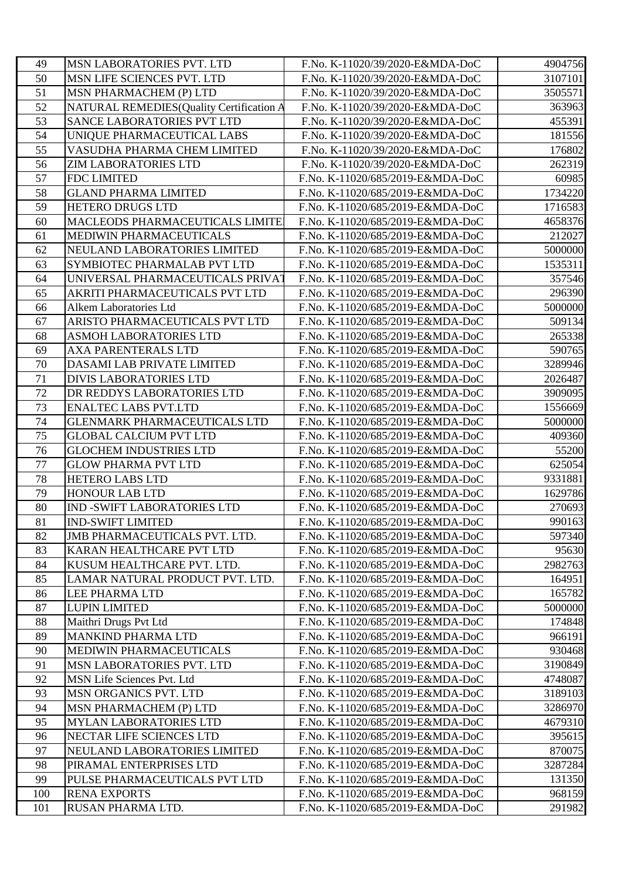| 49  | <b>MSN LABORATORIES PVT. LTD</b>         | F.No. K-11020/39/2020-E&MDA-DoC  | 4904756 |
|-----|------------------------------------------|----------------------------------|---------|
| 50  | MSN LIFE SCIENCES PVT. LTD               | F.No. K-11020/39/2020-E&MDA-DoC  | 3107101 |
| 51  | MSN PHARMACHEM (P) LTD                   | F.No. K-11020/39/2020-E&MDA-DoC  | 3505571 |
| 52  | NATURAL REMEDIES(Quality Certification A | F.No. K-11020/39/2020-E&MDA-DoC  | 363963  |
| 53  | SANCE LABORATORIES PVT LTD               | F.No. K-11020/39/2020-E&MDA-DoC  | 455391  |
| 54  | UNIQUE PHARMACEUTICAL LABS               | F.No. K-11020/39/2020-E&MDA-DoC  | 181556  |
| 55  | VASUDHA PHARMA CHEM LIMITED              | F.No. K-11020/39/2020-E&MDA-DoC  | 176802  |
| 56  | <b>ZIM LABORATORIES LTD</b>              | F.No. K-11020/39/2020-E&MDA-DoC  | 262319  |
| 57  | <b>FDC LIMITED</b>                       | F.No. K-11020/685/2019-E&MDA-DoC | 60985   |
| 58  | <b>GLAND PHARMA LIMITED</b>              | F.No. K-11020/685/2019-E&MDA-DoC | 1734220 |
| 59  | <b>HETERO DRUGS LTD</b>                  | F.No. K-11020/685/2019-E&MDA-DoC | 1716583 |
| 60  | MACLEODS PHARMACEUTICALS LIMITE          | F.No. K-11020/685/2019-E&MDA-DoC | 4658376 |
| 61  | MEDIWIN PHARMACEUTICALS                  | F.No. K-11020/685/2019-E&MDA-DoC | 212027  |
| 62  | NEULAND LABORATORIES LIMITED             | F.No. K-11020/685/2019-E&MDA-DoC | 5000000 |
| 63  | SYMBIOTEC PHARMALAB PVT LTD              | F.No. K-11020/685/2019-E&MDA-DoC | 1535311 |
| 64  | UNIVERSAL PHARMACEUTICALS PRIVAT         | F.No. K-11020/685/2019-E&MDA-DoC | 357546  |
| 65  | AKRITI PHARMACEUTICALS PVT LTD           | F.No. K-11020/685/2019-E&MDA-DoC | 296390  |
| 66  | Alkem Laboratories Ltd                   | F.No. K-11020/685/2019-E&MDA-DoC | 5000000 |
| 67  | ARISTO PHARMACEUTICALS PVT LTD           | F.No. K-11020/685/2019-E&MDA-DoC | 509134  |
| 68  | ASMOH LABORATORIES LTD                   | F.No. K-11020/685/2019-E&MDA-DoC | 265338  |
| 69  | <b>AXA PARENTERALS LTD</b>               | F.No. K-11020/685/2019-E&MDA-DoC | 590765  |
| 70  | DASAMI LAB PRIVATE LIMITED               | F.No. K-11020/685/2019-E&MDA-DoC | 3289946 |
| 71  | <b>DIVIS LABORATORIES LTD</b>            | F.No. K-11020/685/2019-E&MDA-DoC | 2026487 |
| 72  | DR REDDYS LABORATORIES LTD               | F.No. K-11020/685/2019-E&MDA-DoC | 3909095 |
| 73  | <b>ENALTEC LABS PVT.LTD</b>              | F.No. K-11020/685/2019-E&MDA-DoC | 1556669 |
| 74  | <b>GLENMARK PHARMACEUTICALS LTD</b>      | F.No. K-11020/685/2019-E&MDA-DoC | 5000000 |
| 75  | <b>GLOBAL CALCIUM PVT LTD</b>            | F.No. K-11020/685/2019-E&MDA-DoC | 409360  |
| 76  | <b>GLOCHEM INDUSTRIES LTD</b>            | F.No. K-11020/685/2019-E&MDA-DoC | 55200   |
| 77  | <b>GLOW PHARMA PVT LTD</b>               | F.No. K-11020/685/2019-E&MDA-DoC | 625054  |
| 78  | <b>HETERO LABS LTD</b>                   | F.No. K-11020/685/2019-E&MDA-DoC | 9331881 |
| 79  | <b>HONOUR LAB LTD</b>                    | F.No. K-11020/685/2019-E&MDA-DoC | 1629786 |
| 80  | <b>IND -SWIFT LABORATORIES LTD</b>       | F.No. K-11020/685/2019-E&MDA-DoC | 270693  |
| 81  | <b>IND-SWIFT LIMITED</b>                 | F.No. K-11020/685/2019-E&MDA-DoC | 990163  |
| 82  | JMB PHARMACEUTICALS PVT. LTD.            | F.No. K-11020/685/2019-E&MDA-DoC | 597340  |
| 83  | KARAN HEALTHCARE PVT LTD                 | F.No. K-11020/685/2019-E&MDA-DoC | 95630   |
| 84  | KUSUM HEALTHCARE PVT. LTD.               | F.No. K-11020/685/2019-E&MDA-DoC | 2982763 |
| 85  | LAMAR NATURAL PRODUCT PVT. LTD.          | F.No. K-11020/685/2019-E&MDA-DoC | 164951  |
| 86  | <b>LEE PHARMA LTD</b>                    | F.No. K-11020/685/2019-E&MDA-DoC | 165782  |
| 87  | <b>LUPIN LIMITED</b>                     | F.No. K-11020/685/2019-E&MDA-DoC | 5000000 |
| 88  | Maithri Drugs Pvt Ltd                    | F.No. K-11020/685/2019-E&MDA-DoC | 174848  |
| 89  | <b>MANKIND PHARMA LTD</b>                | F.No. K-11020/685/2019-E&MDA-DoC | 966191  |
| 90  | MEDIWIN PHARMACEUTICALS                  | F.No. K-11020/685/2019-E&MDA-DoC | 930468  |
| 91  | MSN LABORATORIES PVT. LTD                | F.No. K-11020/685/2019-E&MDA-DoC | 3190849 |
| 92  | MSN Life Sciences Pvt. Ltd               | F.No. K-11020/685/2019-E&MDA-DoC | 4748087 |
| 93  | <b>MSN ORGANICS PVT. LTD</b>             | F.No. K-11020/685/2019-E&MDA-DoC | 3189103 |
| 94  | MSN PHARMACHEM (P) LTD                   | F.No. K-11020/685/2019-E&MDA-DoC | 3286970 |
| 95  | <b>MYLAN LABORATORIES LTD</b>            | F.No. K-11020/685/2019-E&MDA-DoC | 4679310 |
| 96  | NECTAR LIFE SCIENCES LTD                 | F.No. K-11020/685/2019-E&MDA-DoC | 395615  |
| 97  | NEULAND LABORATORIES LIMITED             | F.No. K-11020/685/2019-E&MDA-DoC | 870075  |
| 98  | PIRAMAL ENTERPRISES LTD                  | F.No. K-11020/685/2019-E&MDA-DoC | 3287284 |
| 99  | PULSE PHARMACEUTICALS PVT LTD            | F.No. K-11020/685/2019-E&MDA-DoC | 131350  |
| 100 | <b>RENA EXPORTS</b>                      | F.No. K-11020/685/2019-E&MDA-DoC | 968159  |
| 101 | RUSAN PHARMA LTD.                        | F.No. K-11020/685/2019-E&MDA-DoC | 291982  |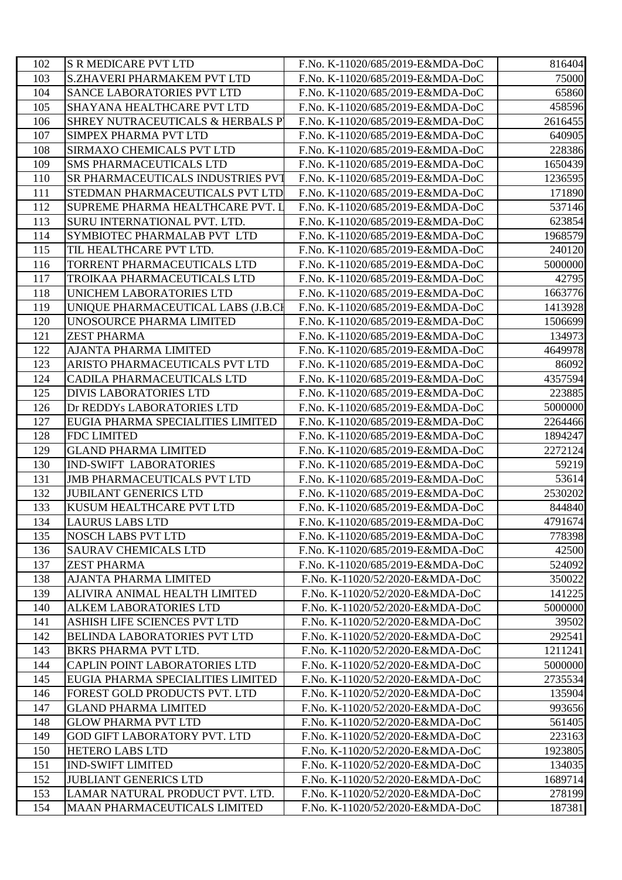| 102 | <b>S R MEDICARE PVT LTD</b>         | F.No. K-11020/685/2019-E&MDA-DoC | 816404  |
|-----|-------------------------------------|----------------------------------|---------|
| 103 | S.ZHAVERI PHARMAKEM PVT LTD         | F.No. K-11020/685/2019-E&MDA-DoC | 75000   |
| 104 | <b>SANCE LABORATORIES PVT LTD</b>   | F.No. K-11020/685/2019-E&MDA-DoC | 65860   |
| 105 | SHAYANA HEALTHCARE PVT LTD          | F.No. K-11020/685/2019-E&MDA-DoC | 458596  |
| 106 | SHREY NUTRACEUTICALS & HERBALS P    | F.No. K-11020/685/2019-E&MDA-DoC | 2616455 |
| 107 | <b>SIMPEX PHARMA PVT LTD</b>        | F.No. K-11020/685/2019-E&MDA-DoC | 640905  |
| 108 | SIRMAXO CHEMICALS PVT LTD           | F.No. K-11020/685/2019-E&MDA-DoC | 228386  |
| 109 | <b>SMS PHARMACEUTICALS LTD</b>      | F.No. K-11020/685/2019-E&MDA-DoC | 1650439 |
| 110 | SR PHARMACEUTICALS INDUSTRIES PVT   | F.No. K-11020/685/2019-E&MDA-DoC | 1236595 |
| 111 | STEDMAN PHARMACEUTICALS PVT LTD     | F.No. K-11020/685/2019-E&MDA-DoC | 171890  |
| 112 | SUPREME PHARMA HEALTHCARE PVT. L    | F.No. K-11020/685/2019-E&MDA-DoC | 537146  |
| 113 | SURU INTERNATIONAL PVT. LTD.        | F.No. K-11020/685/2019-E&MDA-DoC | 623854  |
| 114 | SYMBIOTEC PHARMALAB PVT LTD         | F.No. K-11020/685/2019-E&MDA-DoC | 1968579 |
| 115 | TIL HEALTHCARE PVT LTD.             | F.No. K-11020/685/2019-E&MDA-DoC | 240120  |
| 116 | TORRENT PHARMACEUTICALS LTD         | F.No. K-11020/685/2019-E&MDA-DoC | 5000000 |
| 117 | TROIKAA PHARMACEUTICALS LTD         | F.No. K-11020/685/2019-E&MDA-DoC | 42795   |
| 118 | UNICHEM LABORATORIES LTD            | F.No. K-11020/685/2019-E&MDA-DoC | 1663776 |
| 119 | UNIQUE PHARMACEUTICAL LABS (J.B.CI  | F.No. K-11020/685/2019-E&MDA-DoC | 1413928 |
| 120 | UNOSOURCE PHARMA LIMITED            | F.No. K-11020/685/2019-E&MDA-DoC | 1506699 |
| 121 | <b>ZEST PHARMA</b>                  | F.No. K-11020/685/2019-E&MDA-DoC | 134973  |
| 122 | <b>AJANTA PHARMA LIMITED</b>        | F.No. K-11020/685/2019-E&MDA-DoC | 4649978 |
| 123 | ARISTO PHARMACEUTICALS PVT LTD      | F.No. K-11020/685/2019-E&MDA-DoC | 86092   |
| 124 | CADILA PHARMACEUTICALS LTD          | F.No. K-11020/685/2019-E&MDA-DoC | 4357594 |
| 125 | <b>DIVIS LABORATORIES LTD</b>       | F.No. K-11020/685/2019-E&MDA-DoC | 223885  |
| 126 | Dr REDDYs LABORATORIES LTD          | F.No. K-11020/685/2019-E&MDA-DoC | 5000000 |
| 127 | EUGIA PHARMA SPECIALITIES LIMITED   | F.No. K-11020/685/2019-E&MDA-DoC | 2264466 |
| 128 | <b>FDC LIMITED</b>                  | F.No. K-11020/685/2019-E&MDA-DoC | 1894247 |
| 129 | <b>GLAND PHARMA LIMITED</b>         | F.No. K-11020/685/2019-E&MDA-DoC | 2272124 |
| 130 | <b>IND-SWIFT LABORATORIES</b>       | F.No. K-11020/685/2019-E&MDA-DoC | 59219   |
| 131 | <b>JMB PHARMACEUTICALS PVT LTD</b>  | F.No. K-11020/685/2019-E&MDA-DoC | 53614   |
| 132 | <b>JUBILANT GENERICS LTD</b>        | F.No. K-11020/685/2019-E&MDA-DoC | 2530202 |
| 133 | KUSUM HEALTHCARE PVT LTD            | F.No. K-11020/685/2019-E&MDA-DoC | 844840  |
| 134 | <b>LAURUS LABS LTD</b>              | F.No. K-11020/685/2019-E&MDA-DoC | 4791674 |
| 135 | <b>NOSCH LABS PVT LTD</b>           | F.No. K-11020/685/2019-E&MDA-DoC | 778398  |
| 136 | <b>SAURAV CHEMICALS LTD</b>         | F.No. K-11020/685/2019-E&MDA-DoC | 42500   |
| 137 | <b>ZEST PHARMA</b>                  | F.No. K-11020/685/2019-E&MDA-DoC | 524092  |
| 138 | <b>AJANTA PHARMA LIMITED</b>        | F.No. K-11020/52/2020-E&MDA-DoC  | 350022  |
| 139 | ALIVIRA ANIMAL HEALTH LIMITED       | F.No. K-11020/52/2020-E&MDA-DoC  | 141225  |
| 140 | <b>ALKEM LABORATORIES LTD</b>       | F.No. K-11020/52/2020-E&MDA-DoC  | 5000000 |
| 141 | ASHISH LIFE SCIENCES PVT LTD        | F.No. K-11020/52/2020-E&MDA-DoC  | 39502   |
| 142 | BELINDA LABORATORIES PVT LTD        | F.No. K-11020/52/2020-E&MDA-DoC  | 292541  |
| 143 | BKRS PHARMA PVT LTD.                | F.No. K-11020/52/2020-E&MDA-DoC  | 1211241 |
| 144 | CAPLIN POINT LABORATORIES LTD       | F.No. K-11020/52/2020-E&MDA-DoC  | 5000000 |
| 145 | EUGIA PHARMA SPECIALITIES LIMITED   | F.No. K-11020/52/2020-E&MDA-DoC  | 2735534 |
| 146 | FOREST GOLD PRODUCTS PVT. LTD       | F.No. K-11020/52/2020-E&MDA-DoC  | 135904  |
| 147 | <b>GLAND PHARMA LIMITED</b>         | F.No. K-11020/52/2020-E&MDA-DoC  | 993656  |
| 148 | <b>GLOW PHARMA PVT LTD</b>          | F.No. K-11020/52/2020-E&MDA-DoC  | 561405  |
| 149 | GOD GIFT LABORATORY PVT. LTD        | F.No. K-11020/52/2020-E&MDA-DoC  | 223163  |
| 150 | <b>HETERO LABS LTD</b>              | F.No. K-11020/52/2020-E&MDA-DoC  | 1923805 |
| 151 | <b>IND-SWIFT LIMITED</b>            | F.No. K-11020/52/2020-E&MDA-DoC  | 134035  |
| 152 | <b>JUBLIANT GENERICS LTD</b>        | F.No. K-11020/52/2020-E&MDA-DoC  | 1689714 |
| 153 | LAMAR NATURAL PRODUCT PVT. LTD.     | F.No. K-11020/52/2020-E&MDA-DoC  | 278199  |
| 154 | <b>MAAN PHARMACEUTICALS LIMITED</b> | F.No. K-11020/52/2020-E&MDA-DoC  | 187381  |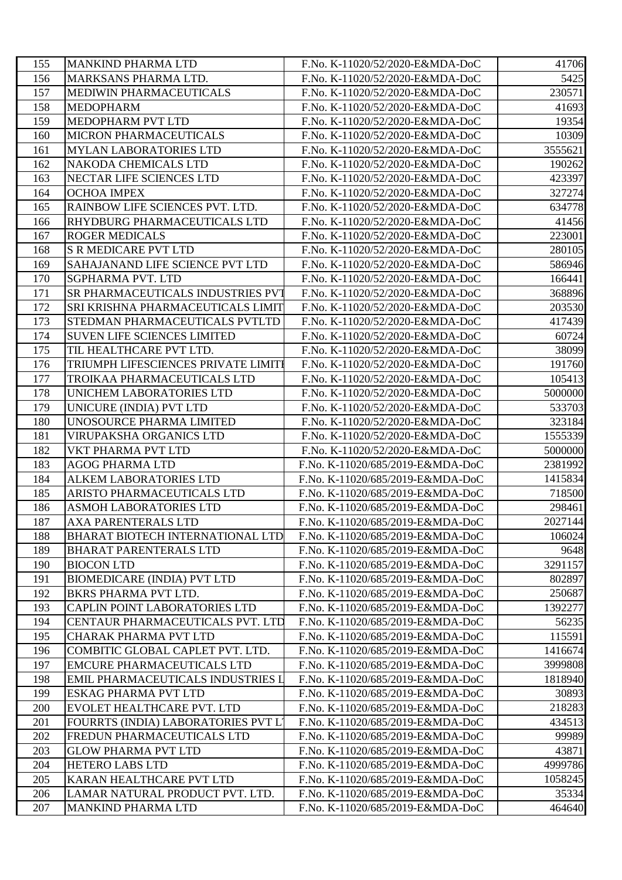| 155 | <b>MANKIND PHARMA LTD</b>           | F.No. K-11020/52/2020-E&MDA-DoC  | 41706   |
|-----|-------------------------------------|----------------------------------|---------|
| 156 | MARKSANS PHARMA LTD.                | F.No. K-11020/52/2020-E&MDA-DoC  | 5425    |
| 157 | MEDIWIN PHARMACEUTICALS             | F.No. K-11020/52/2020-E&MDA-DoC  | 230571  |
| 158 | MEDOPHARM                           | F.No. K-11020/52/2020-E&MDA-DoC  | 41693   |
| 159 | MEDOPHARM PVT LTD                   | F.No. K-11020/52/2020-E&MDA-DoC  | 19354   |
| 160 | MICRON PHARMACEUTICALS              | F.No. K-11020/52/2020-E&MDA-DoC  | 10309   |
| 161 | <b>MYLAN LABORATORIES LTD</b>       | F.No. K-11020/52/2020-E&MDA-DoC  | 3555621 |
| 162 | NAKODA CHEMICALS LTD                | F.No. K-11020/52/2020-E&MDA-DoC  | 190262  |
| 163 | NECTAR LIFE SCIENCES LTD            | F.No. K-11020/52/2020-E&MDA-DoC  | 423397  |
| 164 | <b>OCHOA IMPEX</b>                  | F.No. K-11020/52/2020-E&MDA-DoC  | 327274  |
| 165 | RAINBOW LIFE SCIENCES PVT. LTD.     | F.No. K-11020/52/2020-E&MDA-DoC  | 634778  |
| 166 | RHYDBURG PHARMACEUTICALS LTD        | F.No. K-11020/52/2020-E&MDA-DoC  | 41456   |
| 167 | <b>ROGER MEDICALS</b>               | F.No. K-11020/52/2020-E&MDA-DoC  | 223001  |
| 168 | <b>S R MEDICARE PVT LTD</b>         | F.No. K-11020/52/2020-E&MDA-DoC  | 280105  |
| 169 | SAHAJANAND LIFE SCIENCE PVT LTD     | F.No. K-11020/52/2020-E&MDA-DoC  | 586946  |
| 170 | SGPHARMA PVT. LTD                   | F.No. K-11020/52/2020-E&MDA-DoC  | 166441  |
| 171 | SR PHARMACEUTICALS INDUSTRIES PVT   | F.No. K-11020/52/2020-E&MDA-DoC  | 368896  |
| 172 | SRI KRISHNA PHARMACEUTICALS LIMIT   | F.No. K-11020/52/2020-E&MDA-DoC  | 203530  |
| 173 | STEDMAN PHARMACEUTICALS PVTLTD      | F.No. K-11020/52/2020-E&MDA-DoC  | 417439  |
| 174 | <b>SUVEN LIFE SCIENCES LIMITED</b>  | F.No. K-11020/52/2020-E&MDA-DoC  | 60724   |
| 175 | TIL HEALTHCARE PVT LTD.             | F.No. K-11020/52/2020-E&MDA-DoC  | 38099   |
| 176 | TRIUMPH LIFESCIENCES PRIVATE LIMITI | F.No. K-11020/52/2020-E&MDA-DoC  | 191760  |
| 177 | TROIKAA PHARMACEUTICALS LTD         | F.No. K-11020/52/2020-E&MDA-DoC  | 105413  |
| 178 | UNICHEM LABORATORIES LTD            | F.No. K-11020/52/2020-E&MDA-DoC  | 5000000 |
| 179 | UNICURE (INDIA) PVT LTD             | F.No. K-11020/52/2020-E&MDA-DoC  | 533703  |
| 180 | UNOSOURCE PHARMA LIMITED            | F.No. K-11020/52/2020-E&MDA-DoC  | 323184  |
| 181 | VIRUPAKSHA ORGANICS LTD             | F.No. K-11020/52/2020-E&MDA-DoC  | 1555339 |
| 182 | VKT PHARMA PVT LTD                  | F.No. K-11020/52/2020-E&MDA-DoC  | 5000000 |
| 183 | AGOG PHARMA LTD                     | F.No. K-11020/685/2019-E&MDA-DoC | 2381992 |
| 184 | <b>ALKEM LABORATORIES LTD</b>       | F.No. K-11020/685/2019-E&MDA-DoC | 1415834 |
| 185 | ARISTO PHARMACEUTICALS LTD          | F.No. K-11020/685/2019-E&MDA-DoC | 718500  |
| 186 | <b>ASMOH LABORATORIES LTD</b>       | F.No. K-11020/685/2019-E&MDA-DoC | 298461  |
| 187 | AXA PARENTERALS LTD                 | F.No. K-11020/685/2019-E&MDA-DoC | 2027144 |
| 188 | BHARAT BIOTECH INTERNATIONAL LTD    | F.No. K-11020/685/2019-E&MDA-DoC | 106024  |
| 189 | <b>BHARAT PARENTERALS LTD</b>       | F.No. K-11020/685/2019-E&MDA-DoC | 9648    |
| 190 | <b>BIOCON LTD</b>                   | F.No. K-11020/685/2019-E&MDA-DoC | 3291157 |
| 191 | <b>BIOMEDICARE (INDIA) PVT LTD</b>  | F.No. K-11020/685/2019-E&MDA-DoC | 802897  |
| 192 | BKRS PHARMA PVT LTD.                | F.No. K-11020/685/2019-E&MDA-DoC | 250687  |
| 193 | CAPLIN POINT LABORATORIES LTD       | F.No. K-11020/685/2019-E&MDA-DoC | 1392277 |
| 194 | CENTAUR PHARMACEUTICALS PVT. LTD    | F.No. K-11020/685/2019-E&MDA-DoC | 56235   |
| 195 | <b>CHARAK PHARMA PVT LTD</b>        | F.No. K-11020/685/2019-E&MDA-DoC | 115591  |
| 196 | COMBITIC GLOBAL CAPLET PVT. LTD.    | F.No. K-11020/685/2019-E&MDA-DoC | 1416674 |
| 197 | <b>EMCURE PHARMACEUTICALS LTD</b>   | F.No. K-11020/685/2019-E&MDA-DoC | 3999808 |
| 198 | EMIL PHARMACEUTICALS INDUSTRIES L   | F.No. K-11020/685/2019-E&MDA-DoC | 1818940 |
| 199 | ESKAG PHARMA PVT LTD                | F.No. K-11020/685/2019-E&MDA-DoC | 30893   |
| 200 | EVOLET HEALTHCARE PVT. LTD          | F.No. K-11020/685/2019-E&MDA-DoC | 218283  |
| 201 | FOURRTS (INDIA) LABORATORIES PVT L' | F.No. K-11020/685/2019-E&MDA-DoC | 434513  |
| 202 | FREDUN PHARMACEUTICALS LTD          | F.No. K-11020/685/2019-E&MDA-DoC | 99989   |
| 203 | <b>GLOW PHARMA PVT LTD</b>          | F.No. K-11020/685/2019-E&MDA-DoC | 43871   |
| 204 | <b>HETERO LABS LTD</b>              | F.No. K-11020/685/2019-E&MDA-DoC | 4999786 |
| 205 | KARAN HEALTHCARE PVT LTD            | F.No. K-11020/685/2019-E&MDA-DoC | 1058245 |
| 206 | LAMAR NATURAL PRODUCT PVT. LTD.     | F.No. K-11020/685/2019-E&MDA-DoC | 35334   |
| 207 | <b>MANKIND PHARMA LTD</b>           | F.No. K-11020/685/2019-E&MDA-DoC | 464640  |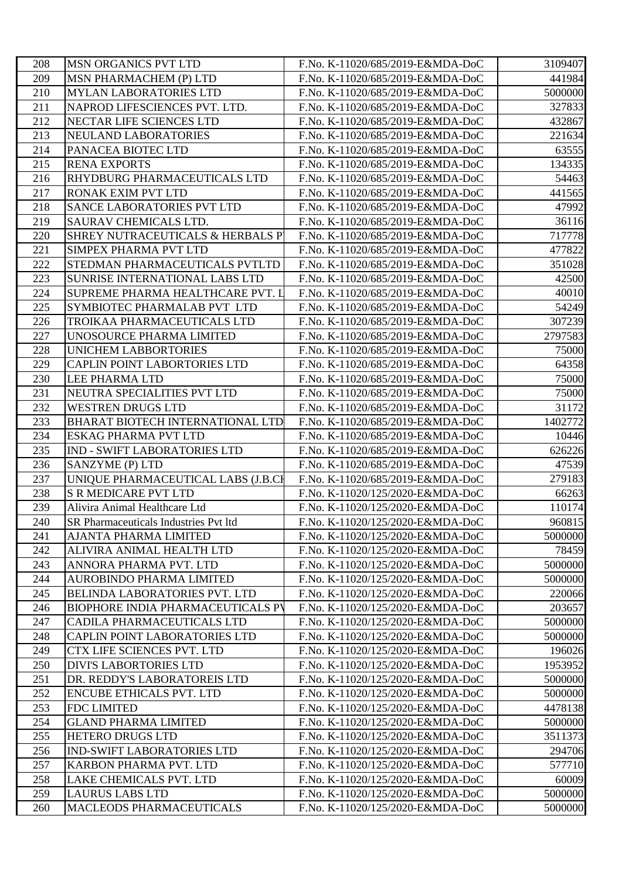| 208 | <b>MSN ORGANICS PVT LTD</b>              | F.No. K-11020/685/2019-E&MDA-DoC | 3109407 |
|-----|------------------------------------------|----------------------------------|---------|
| 209 | MSN PHARMACHEM (P) LTD                   | F.No. K-11020/685/2019-E&MDA-DoC | 441984  |
| 210 | <b>MYLAN LABORATORIES LTD</b>            | F.No. K-11020/685/2019-E&MDA-DoC | 5000000 |
| 211 | NAPROD LIFESCIENCES PVT. LTD.            | F.No. K-11020/685/2019-E&MDA-DoC | 327833  |
| 212 | NECTAR LIFE SCIENCES LTD                 | F.No. K-11020/685/2019-E&MDA-DoC | 432867  |
| 213 | NEULAND LABORATORIES                     | F.No. K-11020/685/2019-E&MDA-DoC | 221634  |
| 214 | PANACEA BIOTEC LTD                       | F.No. K-11020/685/2019-E&MDA-DoC | 63555   |
| 215 | <b>RENA EXPORTS</b>                      | F.No. K-11020/685/2019-E&MDA-DoC | 134335  |
| 216 | RHYDBURG PHARMACEUTICALS LTD             | F.No. K-11020/685/2019-E&MDA-DoC | 54463   |
| 217 | <b>RONAK EXIM PVT LTD</b>                | F.No. K-11020/685/2019-E&MDA-DoC | 441565  |
| 218 | <b>SANCE LABORATORIES PVT LTD</b>        | F.No. K-11020/685/2019-E&MDA-DoC | 47992   |
| 219 | SAURAV CHEMICALS LTD.                    | F.No. K-11020/685/2019-E&MDA-DoC | 36116   |
| 220 | SHREY NUTRACEUTICALS & HERBALS P         | F.No. K-11020/685/2019-E&MDA-DoC | 717778  |
| 221 | <b>SIMPEX PHARMA PVT LTD</b>             | F.No. K-11020/685/2019-E&MDA-DoC | 477822  |
| 222 | STEDMAN PHARMACEUTICALS PVTLTD           | F.No. K-11020/685/2019-E&MDA-DoC | 351028  |
| 223 | <b>SUNRISE INTERNATIONAL LABS LTD</b>    | F.No. K-11020/685/2019-E&MDA-DoC | 42500   |
| 224 | SUPREME PHARMA HEALTHCARE PVT. L         | F.No. K-11020/685/2019-E&MDA-DoC | 40010   |
| 225 | SYMBIOTEC PHARMALAB PVT LTD              | F.No. K-11020/685/2019-E&MDA-DoC | 54249   |
| 226 | TROIKAA PHARMACEUTICALS LTD              | F.No. K-11020/685/2019-E&MDA-DoC | 307239  |
| 227 | UNOSOURCE PHARMA LIMITED                 | F.No. K-11020/685/2019-E&MDA-DoC | 2797583 |
| 228 | <b>UNICHEM LABBORTORIES</b>              | F.No. K-11020/685/2019-E&MDA-DoC | 75000   |
| 229 | CAPLIN POINT LABORTORIES LTD             | F.No. K-11020/685/2019-E&MDA-DoC | 64358   |
| 230 | LEE PHARMA LTD                           | F.No. K-11020/685/2019-E&MDA-DoC | 75000   |
| 231 | NEUTRA SPECIALITIES PVT LTD              | F.No. K-11020/685/2019-E&MDA-DoC | 75000   |
| 232 | <b>WESTREN DRUGS LTD</b>                 | F.No. K-11020/685/2019-E&MDA-DoC | 31172   |
| 233 | BHARAT BIOTECH INTERNATIONAL LTD         | F.No. K-11020/685/2019-E&MDA-DoC | 1402772 |
| 234 | <b>ESKAG PHARMA PVT LTD</b>              | F.No. K-11020/685/2019-E&MDA-DoC | 10446   |
| 235 | <b>IND - SWIFT LABORATORIES LTD</b>      | F.No. K-11020/685/2019-E&MDA-DoC | 626226  |
| 236 | SANZYME (P) LTD                          | F.No. K-11020/685/2019-E&MDA-DoC | 47539   |
| 237 | UNIQUE PHARMACEUTICAL LABS (J.B.CI       | F.No. K-11020/685/2019-E&MDA-DoC | 279183  |
| 238 | <b>S R MEDICARE PVT LTD</b>              | F.No. K-11020/125/2020-E&MDA-DoC | 66263   |
| 239 | Alivira Animal Healthcare Ltd            | F.No. K-11020/125/2020-E&MDA-DoC | 110174  |
| 240 | SR Pharmaceuticals Industries Pvt ltd    | F.No. K-11020/125/2020-E&MDA-DoC | 960815  |
| 241 | AJANTA PHARMA LIMITED                    | F.No. K-11020/125/2020-E&MDA-DoC | 5000000 |
| 242 | ALIVIRA ANIMAL HEALTH LTD                | F.No. K-11020/125/2020-E&MDA-DoC | 78459   |
| 243 | ANNORA PHARMA PVT. LTD                   | F.No. K-11020/125/2020-E&MDA-DoC | 5000000 |
| 244 | AUROBINDO PHARMA LIMITED                 | F.No. K-11020/125/2020-E&MDA-DoC | 5000000 |
| 245 | BELINDA LABORATORIES PVT. LTD            | F.No. K-11020/125/2020-E&MDA-DoC | 220066  |
| 246 | <b>BIOPHORE INDIA PHARMACEUTICALS PV</b> | F.No. K-11020/125/2020-E&MDA-DoC | 203657  |
| 247 | CADILA PHARMACEUTICALS LTD               | F.No. K-11020/125/2020-E&MDA-DoC | 5000000 |
| 248 | <b>CAPLIN POINT LABORATORIES LTD</b>     | F.No. K-11020/125/2020-E&MDA-DoC | 5000000 |
| 249 | CTX LIFE SCIENCES PVT. LTD               | F.No. K-11020/125/2020-E&MDA-DoC | 196026  |
| 250 | <b>DIVI'S LABORTORIES LTD</b>            | F.No. K-11020/125/2020-E&MDA-DoC | 1953952 |
| 251 | DR. REDDY'S LABORATOREIS LTD             | F.No. K-11020/125/2020-E&MDA-DoC | 5000000 |
| 252 | <b>ENCUBE ETHICALS PVT. LTD</b>          | F.No. K-11020/125/2020-E&MDA-DoC | 5000000 |
| 253 | <b>FDC LIMITED</b>                       | F.No. K-11020/125/2020-E&MDA-DoC | 4478138 |
| 254 | <b>GLAND PHARMA LIMITED</b>              | F.No. K-11020/125/2020-E&MDA-DoC | 5000000 |
| 255 | <b>HETERO DRUGS LTD</b>                  | F.No. K-11020/125/2020-E&MDA-DoC | 3511373 |
| 256 | <b>IND-SWIFT LABORATORIES LTD</b>        | F.No. K-11020/125/2020-E&MDA-DoC | 294706  |
| 257 | KARBON PHARMA PVT. LTD                   | F.No. K-11020/125/2020-E&MDA-DoC | 577710  |
| 258 | LAKE CHEMICALS PVT. LTD                  | F.No. K-11020/125/2020-E&MDA-DoC | 60009   |
| 259 | <b>LAURUS LABS LTD</b>                   | F.No. K-11020/125/2020-E&MDA-DoC | 5000000 |
| 260 | MACLEODS PHARMACEUTICALS                 | F.No. K-11020/125/2020-E&MDA-DoC | 5000000 |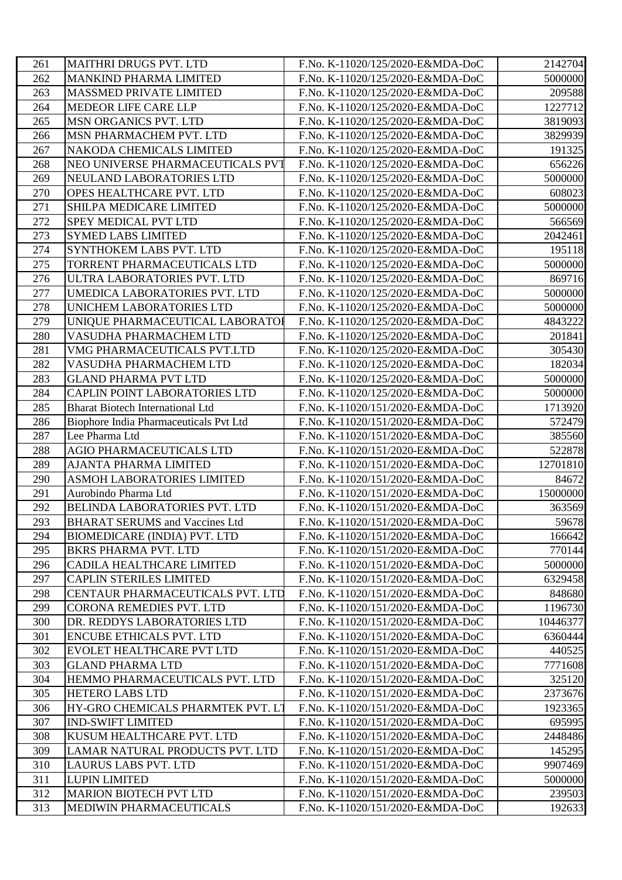| 261 | <b>MAITHRI DRUGS PVT. LTD</b>                 | F.No. K-11020/125/2020-E&MDA-DoC | 2142704  |
|-----|-----------------------------------------------|----------------------------------|----------|
| 262 | MANKIND PHARMA LIMITED                        | F.No. K-11020/125/2020-E&MDA-DoC | 5000000  |
| 263 | <b>MASSMED PRIVATE LIMITED</b>                | F.No. K-11020/125/2020-E&MDA-DoC | 209588   |
| 264 | MEDEOR LIFE CARE LLP                          | F.No. K-11020/125/2020-E&MDA-DoC | 1227712  |
| 265 | <b>MSN ORGANICS PVT. LTD</b>                  | F.No. K-11020/125/2020-E&MDA-DoC | 3819093  |
| 266 | MSN PHARMACHEM PVT. LTD                       | F.No. K-11020/125/2020-E&MDA-DoC | 3829939  |
| 267 | NAKODA CHEMICALS LIMITED                      | F.No. K-11020/125/2020-E&MDA-DoC | 191325   |
| 268 | NEO UNIVERSE PHARMACEUTICALS PVT              | F.No. K-11020/125/2020-E&MDA-DoC | 656226   |
| 269 | NEULAND LABORATORIES LTD                      | F.No. K-11020/125/2020-E&MDA-DoC | 5000000  |
| 270 | OPES HEALTHCARE PVT. LTD                      | F.No. K-11020/125/2020-E&MDA-DoC | 608023   |
| 271 | SHILPA MEDICARE LIMITED                       | F.No. K-11020/125/2020-E&MDA-DoC | 5000000  |
| 272 | <b>SPEY MEDICAL PVT LTD</b>                   | F.No. K-11020/125/2020-E&MDA-DoC | 566569   |
| 273 | <b>SYMED LABS LIMITED</b>                     | F.No. K-11020/125/2020-E&MDA-DoC | 2042461  |
| 274 | SYNTHOKEM LABS PVT. LTD                       | F.No. K-11020/125/2020-E&MDA-DoC | 195118   |
| 275 | TORRENT PHARMACEUTICALS LTD                   | F.No. K-11020/125/2020-E&MDA-DoC | 5000000  |
| 276 | ULTRA LABORATORIES PVT. LTD                   | F.No. K-11020/125/2020-E&MDA-DoC | 869716   |
| 277 | UMEDICA LABORATORIES PVT. LTD                 | F.No. K-11020/125/2020-E&MDA-DoC | 5000000  |
| 278 | UNICHEM LABORATORIES LTD                      | F.No. K-11020/125/2020-E&MDA-DoC | 5000000  |
| 279 | UNIQUE PHARMACEUTICAL LABORATOI               | F.No. K-11020/125/2020-E&MDA-DoC | 4843222  |
| 280 | VASUDHA PHARMACHEM LTD                        | F.No. K-11020/125/2020-E&MDA-DoC | 201841   |
| 281 | VMG PHARMACEUTICALS PVT.LTD                   | F.No. K-11020/125/2020-E&MDA-DoC | 305430   |
| 282 | VASUDHA PHARMACHEM LTD                        | F.No. K-11020/125/2020-E&MDA-DoC | 182034   |
| 283 | <b>GLAND PHARMA PVT LTD</b>                   | F.No. K-11020/125/2020-E&MDA-DoC | 5000000  |
| 284 | CAPLIN POINT LABORATORIES LTD                 | F.No. K-11020/125/2020-E&MDA-DoC | 5000000  |
| 285 | <b>Bharat Biotech International Ltd</b>       | F.No. K-11020/151/2020-E&MDA-DoC | 1713920  |
| 286 | <b>Biophore India Pharmaceuticals Pvt Ltd</b> | F.No. K-11020/151/2020-E&MDA-DoC | 572479   |
| 287 | Lee Pharma Ltd                                | F.No. K-11020/151/2020-E&MDA-DoC | 385560   |
| 288 | AGIO PHARMACEUTICALS LTD                      | F.No. K-11020/151/2020-E&MDA-DoC | 522878   |
| 289 | AJANTA PHARMA LIMITED                         | F.No. K-11020/151/2020-E&MDA-DoC | 12701810 |
| 290 | <b>ASMOH LABORATORIES LIMITED</b>             | F.No. K-11020/151/2020-E&MDA-DoC | 84672    |
| 291 | Aurobindo Pharma Ltd                          | F.No. K-11020/151/2020-E&MDA-DoC | 15000000 |
| 292 | BELINDA LABORATORIES PVT. LTD                 | F.No. K-11020/151/2020-E&MDA-DoC | 363569   |
| 293 | <b>BHARAT SERUMS and Vaccines Ltd</b>         | F.No. K-11020/151/2020-E&MDA-DoC | 59678    |
| 294 | <b>BIOMEDICARE (INDIA) PVT. LTD</b>           | F.No. K-11020/151/2020-E&MDA-DoC | 166642   |
| 295 | <b>BKRS PHARMA PVT. LTD</b>                   | F.No. K-11020/151/2020-E&MDA-DoC | 770144   |
| 296 | CADILA HEALTHCARE LIMITED                     | F.No. K-11020/151/2020-E&MDA-DoC | 5000000  |
| 297 | <b>CAPLIN STERILES LIMITED</b>                | F.No. K-11020/151/2020-E&MDA-DoC | 6329458  |
| 298 | CENTAUR PHARMACEUTICALS PVT. LTD              | F.No. K-11020/151/2020-E&MDA-DoC | 848680   |
| 299 | CORONA REMEDIES PVT. LTD                      | F.No. K-11020/151/2020-E&MDA-DoC | 1196730  |
| 300 | DR. REDDYS LABORATORIES LTD                   | F.No. K-11020/151/2020-E&MDA-DoC | 10446377 |
| 301 | <b>ENCUBE ETHICALS PVT. LTD</b>               | F.No. K-11020/151/2020-E&MDA-DoC | 6360444  |
| 302 | EVOLET HEALTHCARE PVT LTD                     | F.No. K-11020/151/2020-E&MDA-DoC | 440525   |
| 303 | <b>GLAND PHARMA LTD</b>                       | F.No. K-11020/151/2020-E&MDA-DoC | 7771608  |
| 304 | HEMMO PHARMACEUTICALS PVT. LTD                | F.No. K-11020/151/2020-E&MDA-DoC | 325120   |
| 305 | <b>HETERO LABS LTD</b>                        | F.No. K-11020/151/2020-E&MDA-DoC | 2373676  |
| 306 | HY-GRO CHEMICALS PHARMTEK PVT. LT             | F.No. K-11020/151/2020-E&MDA-DoC | 1923365  |
| 307 | <b>IND-SWIFT LIMITED</b>                      | F.No. K-11020/151/2020-E&MDA-DoC | 695995   |
| 308 | KUSUM HEALTHCARE PVT. LTD                     | F.No. K-11020/151/2020-E&MDA-DoC | 2448486  |
| 309 | LAMAR NATURAL PRODUCTS PVT. LTD               | F.No. K-11020/151/2020-E&MDA-DoC | 145295   |
| 310 | LAURUS LABS PVT. LTD                          | F.No. K-11020/151/2020-E&MDA-DoC | 9907469  |
| 311 | <b>LUPIN LIMITED</b>                          | F.No. K-11020/151/2020-E&MDA-DoC | 5000000  |
| 312 | <b>MARION BIOTECH PVT LTD</b>                 | F.No. K-11020/151/2020-E&MDA-DoC | 239503   |
| 313 | MEDIWIN PHARMACEUTICALS                       | F.No. K-11020/151/2020-E&MDA-DoC | 192633   |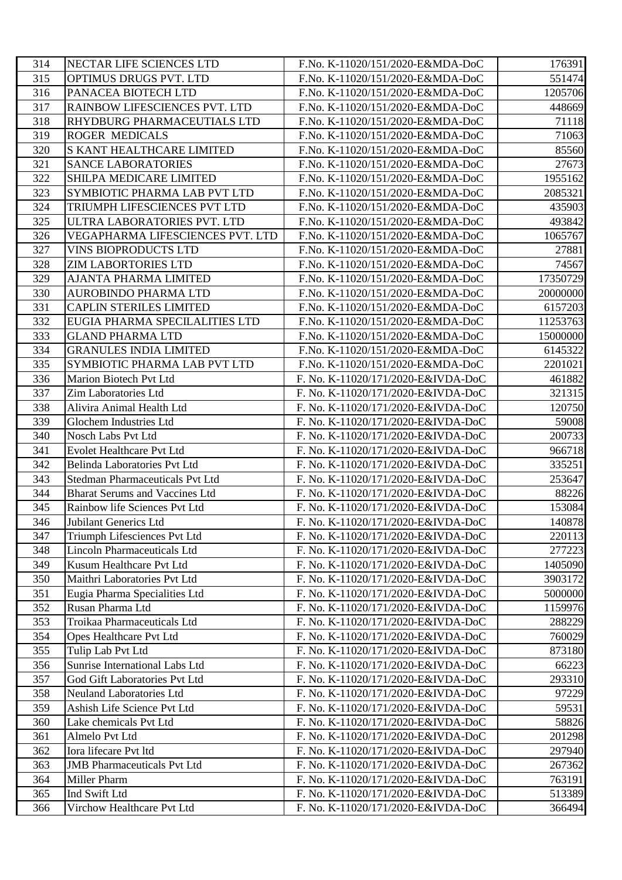| 314 | NECTAR LIFE SCIENCES LTD              | F.No. K-11020/151/2020-E&MDA-DoC   | 176391   |
|-----|---------------------------------------|------------------------------------|----------|
| 315 | OPTIMUS DRUGS PVT. LTD                | F.No. K-11020/151/2020-E&MDA-DoC   | 551474   |
| 316 | PANACEA BIOTECH LTD                   | F.No. K-11020/151/2020-E&MDA-DoC   | 1205706  |
| 317 | RAINBOW LIFESCIENCES PVT. LTD         | F.No. K-11020/151/2020-E&MDA-DoC   | 448669   |
| 318 | RHYDBURG PHARMACEUTIALS LTD           | F.No. K-11020/151/2020-E&MDA-DoC   | 71118    |
| 319 | ROGER MEDICALS                        | F.No. K-11020/151/2020-E&MDA-DoC   | 71063    |
| 320 | S KANT HEALTHCARE LIMITED             | F.No. K-11020/151/2020-E&MDA-DoC   | 85560    |
| 321 | <b>SANCE LABORATORIES</b>             | F.No. K-11020/151/2020-E&MDA-DoC   | 27673    |
| 322 | SHILPA MEDICARE LIMITED               | F.No. K-11020/151/2020-E&MDA-DoC   | 1955162  |
| 323 | SYMBIOTIC PHARMA LAB PVT LTD          | F.No. K-11020/151/2020-E&MDA-DoC   | 2085321  |
| 324 | TRIUMPH LIFESCIENCES PVT LTD          | F.No. K-11020/151/2020-E&MDA-DoC   | 435903   |
| 325 | ULTRA LABORATORIES PVT. LTD           | F.No. K-11020/151/2020-E&MDA-DoC   | 493842   |
| 326 | VEGAPHARMA LIFESCIENCES PVT. LTD      | F.No. K-11020/151/2020-E&MDA-DoC   | 1065767  |
| 327 | <b>VINS BIOPRODUCTS LTD</b>           | F.No. K-11020/151/2020-E&MDA-DoC   | 27881    |
| 328 | <b>ZIM LABORTORIES LTD</b>            | F.No. K-11020/151/2020-E&MDA-DoC   | 74567    |
| 329 | AJANTA PHARMA LIMITED                 | F.No. K-11020/151/2020-E&MDA-DoC   | 17350729 |
| 330 | AUROBINDO PHARMA LTD                  | F.No. K-11020/151/2020-E&MDA-DoC   | 20000000 |
| 331 | CAPLIN STERILES LIMITED               | F.No. K-11020/151/2020-E&MDA-DoC   | 6157203  |
| 332 | EUGIA PHARMA SPECILALITIES LTD        | F.No. K-11020/151/2020-E&MDA-DoC   | 11253763 |
| 333 | <b>GLAND PHARMA LTD</b>               | F.No. K-11020/151/2020-E&MDA-DoC   | 15000000 |
| 334 | <b>GRANULES INDIA LIMITED</b>         | F.No. K-11020/151/2020-E&MDA-DoC   | 6145322  |
| 335 | SYMBIOTIC PHARMA LAB PVT LTD          | F.No. K-11020/151/2020-E&MDA-DoC   | 2201021  |
| 336 | Marion Biotech Pvt Ltd                | F. No. K-11020/171/2020-E&IVDA-DoC | 461882   |
| 337 | Zim Laboratories Ltd                  | F. No. K-11020/171/2020-E&IVDA-DoC | 321315   |
| 338 | Alivira Animal Health Ltd             | F. No. K-11020/171/2020-E&IVDA-DoC | 120750   |
| 339 | Glochem Industries Ltd                | F. No. K-11020/171/2020-E&IVDA-DoC | 59008    |
| 340 | Nosch Labs Pvt Ltd                    | F. No. K-11020/171/2020-E&IVDA-DoC | 200733   |
| 341 | Evolet Healthcare Pvt Ltd             | F. No. K-11020/171/2020-E&IVDA-DoC | 966718   |
| 342 | <b>Belinda Laboratories Pvt Ltd</b>   | F. No. K-11020/171/2020-E&IVDA-DoC | 335251   |
| 343 | Stedman Pharmaceuticals Pvt Ltd       | F. No. K-11020/171/2020-E&IVDA-DoC | 253647   |
| 344 | <b>Bharat Serums and Vaccines Ltd</b> | F. No. K-11020/171/2020-E&IVDA-DoC | 88226    |
| 345 | Rainbow life Sciences Pvt Ltd         | F. No. K-11020/171/2020-E&IVDA-DoC | 153084   |
| 346 | Jubilant Generics Ltd                 | F. No. K-11020/171/2020-E&IVDA-DoC | 140878   |
| 347 | Triumph Lifesciences Pvt Ltd          | F. No. K-11020/171/2020-E&IVDA-DoC | 220113   |
| 348 | <b>Lincoln Pharmaceuticals Ltd</b>    | F. No. K-11020/171/2020-E&IVDA-DoC | 277223   |
| 349 | Kusum Healthcare Pvt Ltd              | F. No. K-11020/171/2020-E&IVDA-DoC | 1405090  |
| 350 | Maithri Laboratories Pvt Ltd          | F. No. K-11020/171/2020-E&IVDA-DoC | 3903172  |
| 351 | Eugia Pharma Specialities Ltd         | F. No. K-11020/171/2020-E&IVDA-DoC | 5000000  |
| 352 | Rusan Pharma Ltd                      | F. No. K-11020/171/2020-E&IVDA-DoC | 1159976  |
| 353 | Troikaa Pharmaceuticals Ltd           | F. No. K-11020/171/2020-E&IVDA-DoC | 288229   |
| 354 | Opes Healthcare Pvt Ltd               | F. No. K-11020/171/2020-E&IVDA-DoC | 760029   |
| 355 | Tulip Lab Pvt Ltd                     | F. No. K-11020/171/2020-E&IVDA-DoC | 873180   |
| 356 | Sunrise International Labs Ltd        | F. No. K-11020/171/2020-E&IVDA-DoC | 66223    |
| 357 | God Gift Laboratories Pvt Ltd         | F. No. K-11020/171/2020-E&IVDA-DoC | 293310   |
| 358 | <b>Neuland Laboratories Ltd</b>       | F. No. K-11020/171/2020-E&IVDA-DoC | 97229    |
| 359 | Ashish Life Science Pvt Ltd           | F. No. K-11020/171/2020-E&IVDA-DoC | 59531    |
| 360 | Lake chemicals Pvt Ltd                | F. No. K-11020/171/2020-E&IVDA-DoC | 58826    |
| 361 | Almelo Pvt Ltd                        | F. No. K-11020/171/2020-E&IVDA-DoC | 201298   |
| 362 | Iora lifecare Pvt ltd                 | F. No. K-11020/171/2020-E&IVDA-DoC | 297940   |
| 363 | <b>JMB</b> Pharmaceuticals Pvt Ltd    | F. No. K-11020/171/2020-E&IVDA-DoC | 267362   |
| 364 | Miller Pharm                          | F. No. K-11020/171/2020-E&IVDA-DoC | 763191   |
| 365 | Ind Swift Ltd                         | F. No. K-11020/171/2020-E&IVDA-DoC | 513389   |
| 366 | Virchow Healthcare Pvt Ltd            | F. No. K-11020/171/2020-E&IVDA-DoC | 366494   |